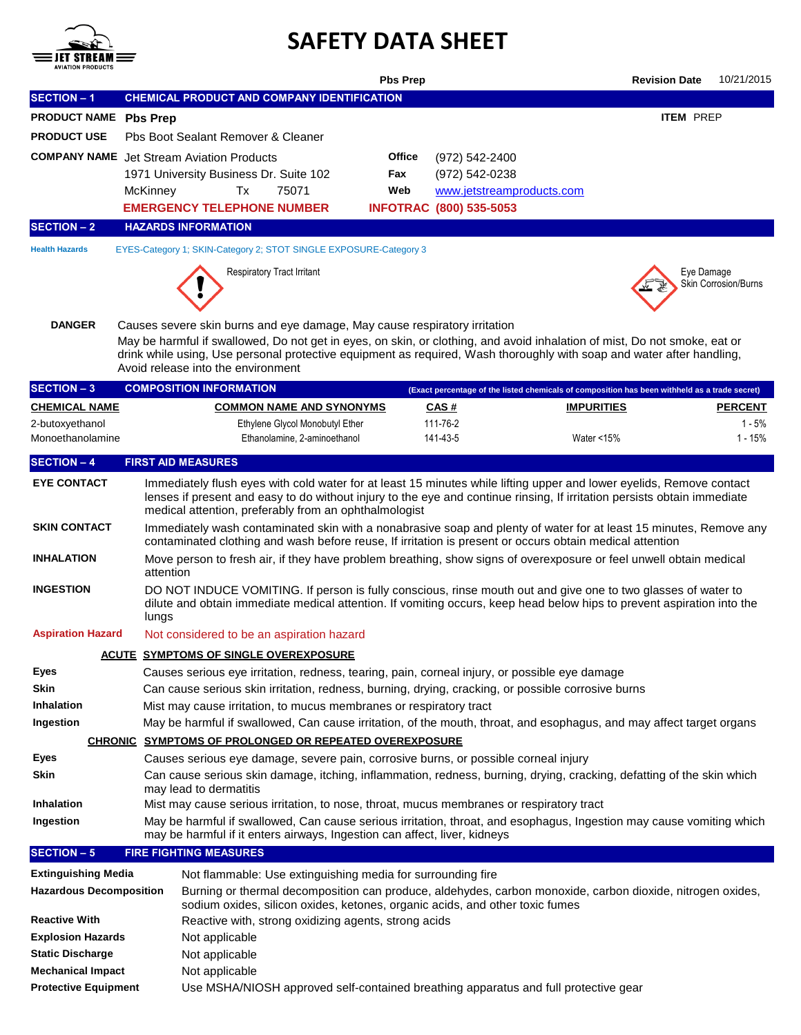

# **SAFETY DATA SHEET**

| AVIAIIUN PHUDUCI 5                                                                                                                |                                                                                                                                                                                                              |                                                                                                                                                                                                                                                                                                                                                                       | <b>Pbs Prep</b> |                                                                                               |                                     | <b>Revision Date</b> | 10/21/2015           |  |  |  |  |
|-----------------------------------------------------------------------------------------------------------------------------------|--------------------------------------------------------------------------------------------------------------------------------------------------------------------------------------------------------------|-----------------------------------------------------------------------------------------------------------------------------------------------------------------------------------------------------------------------------------------------------------------------------------------------------------------------------------------------------------------------|-----------------|-----------------------------------------------------------------------------------------------|-------------------------------------|----------------------|----------------------|--|--|--|--|
| <b>SECTION - 1</b>                                                                                                                |                                                                                                                                                                                                              | CHEMICAL PRODUCT AND COMPANY IDENTIFICATION                                                                                                                                                                                                                                                                                                                           |                 |                                                                                               |                                     |                      |                      |  |  |  |  |
| PRODUCT NAME Pbs Prep                                                                                                             |                                                                                                                                                                                                              |                                                                                                                                                                                                                                                                                                                                                                       |                 |                                                                                               |                                     | <b>ITEM PREP</b>     |                      |  |  |  |  |
| <b>PRODUCT USE</b>                                                                                                                |                                                                                                                                                                                                              | Pbs Boot Sealant Remover & Cleaner                                                                                                                                                                                                                                                                                                                                    |                 |                                                                                               |                                     |                      |                      |  |  |  |  |
|                                                                                                                                   |                                                                                                                                                                                                              | <b>COMPANY NAME</b> Jet Stream Aviation Products                                                                                                                                                                                                                                                                                                                      | Office          | (972) 542-2400                                                                                |                                     |                      |                      |  |  |  |  |
|                                                                                                                                   |                                                                                                                                                                                                              | 1971 University Business Dr. Suite 102                                                                                                                                                                                                                                                                                                                                | Fax             | (972) 542-0238                                                                                |                                     |                      |                      |  |  |  |  |
|                                                                                                                                   | McKinney                                                                                                                                                                                                     | Tx<br>75071                                                                                                                                                                                                                                                                                                                                                           | Web             | www.jetstreamproducts.com                                                                     |                                     |                      |                      |  |  |  |  |
|                                                                                                                                   |                                                                                                                                                                                                              | <b>EMERGENCY TELEPHONE NUMBER</b>                                                                                                                                                                                                                                                                                                                                     |                 | <b>INFOTRAC (800) 535-5053</b>                                                                |                                     |                      |                      |  |  |  |  |
| <b>SECTION - 2</b>                                                                                                                |                                                                                                                                                                                                              | <b>HAZARDS INFORMATION</b>                                                                                                                                                                                                                                                                                                                                            |                 |                                                                                               |                                     |                      |                      |  |  |  |  |
| <b>Health Hazards</b>                                                                                                             |                                                                                                                                                                                                              | EYES-Category 1; SKIN-Category 2; STOT SINGLE EXPOSURE-Category 3                                                                                                                                                                                                                                                                                                     |                 |                                                                                               |                                     |                      |                      |  |  |  |  |
|                                                                                                                                   |                                                                                                                                                                                                              | <b>Respiratory Tract Irritant</b>                                                                                                                                                                                                                                                                                                                                     |                 |                                                                                               |                                     | Eye Damage           | Skin Corrosion/Burns |  |  |  |  |
| <b>DANGER</b>                                                                                                                     |                                                                                                                                                                                                              | Causes severe skin burns and eye damage, May cause respiratory irritation<br>May be harmful if swallowed, Do not get in eyes, on skin, or clothing, and avoid inhalation of mist, Do not smoke, eat or<br>drink while using, Use personal protective equipment as required, Wash thoroughly with soap and water after handling,<br>Avoid release into the environment |                 |                                                                                               |                                     |                      |                      |  |  |  |  |
| <b>SECTION - 3</b>                                                                                                                |                                                                                                                                                                                                              | <b>COMPOSITION INFORMATION</b>                                                                                                                                                                                                                                                                                                                                        |                 | (Exact percentage of the listed chemicals of composition has been withheld as a trade secret) |                                     |                      |                      |  |  |  |  |
| <b>CHEMICAL NAME</b>                                                                                                              |                                                                                                                                                                                                              | <b>COMMON NAME AND SYNONYMS</b>                                                                                                                                                                                                                                                                                                                                       |                 | CAS#                                                                                          | <b>IMPURITIES</b><br><b>PERCENT</b> |                      |                      |  |  |  |  |
| 2-butoxyethanol<br>Monoethanolamine                                                                                               |                                                                                                                                                                                                              | Ethylene Glycol Monobutyl Ether<br>Ethanolamine, 2-aminoethanol                                                                                                                                                                                                                                                                                                       |                 | 111-76-2<br>141-43-5                                                                          | Water $<$ 15%                       |                      | 1 - 5%<br>1 - 15%    |  |  |  |  |
| <b>SECTION - 4</b>                                                                                                                |                                                                                                                                                                                                              | <b>FIRST AID MEASURES</b>                                                                                                                                                                                                                                                                                                                                             |                 |                                                                                               |                                     |                      |                      |  |  |  |  |
|                                                                                                                                   |                                                                                                                                                                                                              |                                                                                                                                                                                                                                                                                                                                                                       |                 |                                                                                               |                                     |                      |                      |  |  |  |  |
| <b>EYE CONTACT</b>                                                                                                                |                                                                                                                                                                                                              | Immediately flush eyes with cold water for at least 15 minutes while lifting upper and lower eyelids, Remove contact<br>lenses if present and easy to do without injury to the eye and continue rinsing, If irritation persists obtain immediate<br>medical attention, preferably from an ophthalmologist                                                             |                 |                                                                                               |                                     |                      |                      |  |  |  |  |
| <b>SKIN CONTACT</b>                                                                                                               |                                                                                                                                                                                                              | Immediately wash contaminated skin with a nonabrasive soap and plenty of water for at least 15 minutes, Remove any<br>contaminated clothing and wash before reuse, If irritation is present or occurs obtain medical attention                                                                                                                                        |                 |                                                                                               |                                     |                      |                      |  |  |  |  |
| <b>INHALATION</b>                                                                                                                 |                                                                                                                                                                                                              | Move person to fresh air, if they have problem breathing, show signs of overexposure or feel unwell obtain medical<br>attention                                                                                                                                                                                                                                       |                 |                                                                                               |                                     |                      |                      |  |  |  |  |
| <b>INGESTION</b>                                                                                                                  |                                                                                                                                                                                                              | DO NOT INDUCE VOMITING. If person is fully conscious, rinse mouth out and give one to two glasses of water to<br>dilute and obtain immediate medical attention. If vomiting occurs, keep head below hips to prevent aspiration into the<br>lungs                                                                                                                      |                 |                                                                                               |                                     |                      |                      |  |  |  |  |
| <b>Aspiration Hazard</b>                                                                                                          |                                                                                                                                                                                                              | Not considered to be an aspiration hazard                                                                                                                                                                                                                                                                                                                             |                 |                                                                                               |                                     |                      |                      |  |  |  |  |
|                                                                                                                                   |                                                                                                                                                                                                              | <b>ACUTE SYMPTOMS OF SINGLE OVEREXPOSURE</b>                                                                                                                                                                                                                                                                                                                          |                 |                                                                                               |                                     |                      |                      |  |  |  |  |
| Eyes                                                                                                                              | Causes serious eye irritation, redness, tearing, pain, corneal injury, or possible eye damage                                                                                                                |                                                                                                                                                                                                                                                                                                                                                                       |                 |                                                                                               |                                     |                      |                      |  |  |  |  |
| Skin                                                                                                                              |                                                                                                                                                                                                              | Can cause serious skin irritation, redness, burning, drying, cracking, or possible corrosive burns                                                                                                                                                                                                                                                                    |                 |                                                                                               |                                     |                      |                      |  |  |  |  |
| <b>Inhalation</b>                                                                                                                 |                                                                                                                                                                                                              | Mist may cause irritation, to mucus membranes or respiratory tract                                                                                                                                                                                                                                                                                                    |                 |                                                                                               |                                     |                      |                      |  |  |  |  |
| Ingestion                                                                                                                         |                                                                                                                                                                                                              | May be harmful if swallowed, Can cause irritation, of the mouth, throat, and esophagus, and may affect target organs                                                                                                                                                                                                                                                  |                 |                                                                                               |                                     |                      |                      |  |  |  |  |
| <b>Eyes</b>                                                                                                                       |                                                                                                                                                                                                              | CHRONIC SYMPTOMS OF PROLONGED OR REPEATED OVEREXPOSURE                                                                                                                                                                                                                                                                                                                |                 |                                                                                               |                                     |                      |                      |  |  |  |  |
| Skin                                                                                                                              | Causes serious eye damage, severe pain, corrosive burns, or possible corneal injury<br>Can cause serious skin damage, itching, inflammation, redness, burning, drying, cracking, defatting of the skin which |                                                                                                                                                                                                                                                                                                                                                                       |                 |                                                                                               |                                     |                      |                      |  |  |  |  |
| may lead to dermatitis<br>Inhalation<br>Mist may cause serious irritation, to nose, throat, mucus membranes or respiratory tract  |                                                                                                                                                                                                              |                                                                                                                                                                                                                                                                                                                                                                       |                 |                                                                                               |                                     |                      |                      |  |  |  |  |
| Ingestion<br>May be harmful if swallowed, Can cause serious irritation, throat, and esophagus, Ingestion may cause vomiting which |                                                                                                                                                                                                              |                                                                                                                                                                                                                                                                                                                                                                       |                 |                                                                                               |                                     |                      |                      |  |  |  |  |
| may be harmful if it enters airways, Ingestion can affect, liver, kidneys                                                         |                                                                                                                                                                                                              |                                                                                                                                                                                                                                                                                                                                                                       |                 |                                                                                               |                                     |                      |                      |  |  |  |  |
| <b>SECTION - 5</b>                                                                                                                |                                                                                                                                                                                                              | <b>FIRE FIGHTING MEASURES</b>                                                                                                                                                                                                                                                                                                                                         |                 |                                                                                               |                                     |                      |                      |  |  |  |  |
| <b>Extinguishing Media</b>                                                                                                        |                                                                                                                                                                                                              | Not flammable: Use extinguishing media for surrounding fire                                                                                                                                                                                                                                                                                                           |                 |                                                                                               |                                     |                      |                      |  |  |  |  |
| <b>Hazardous Decomposition</b>                                                                                                    |                                                                                                                                                                                                              | Burning or thermal decomposition can produce, aldehydes, carbon monoxide, carbon dioxide, nitrogen oxides,<br>sodium oxides, silicon oxides, ketones, organic acids, and other toxic fumes                                                                                                                                                                            |                 |                                                                                               |                                     |                      |                      |  |  |  |  |
| <b>Reactive With</b>                                                                                                              |                                                                                                                                                                                                              | Reactive with, strong oxidizing agents, strong acids                                                                                                                                                                                                                                                                                                                  |                 |                                                                                               |                                     |                      |                      |  |  |  |  |
| <b>Explosion Hazards</b>                                                                                                          |                                                                                                                                                                                                              | Not applicable                                                                                                                                                                                                                                                                                                                                                        |                 |                                                                                               |                                     |                      |                      |  |  |  |  |
| <b>Static Discharge</b>                                                                                                           |                                                                                                                                                                                                              | Not applicable                                                                                                                                                                                                                                                                                                                                                        |                 |                                                                                               |                                     |                      |                      |  |  |  |  |
| <b>Mechanical Impact</b><br><b>Protective Equipment</b>                                                                           |                                                                                                                                                                                                              | Not applicable<br>Use MSHA/NIOSH approved self-contained breathing apparatus and full protective gear                                                                                                                                                                                                                                                                 |                 |                                                                                               |                                     |                      |                      |  |  |  |  |
|                                                                                                                                   |                                                                                                                                                                                                              |                                                                                                                                                                                                                                                                                                                                                                       |                 |                                                                                               |                                     |                      |                      |  |  |  |  |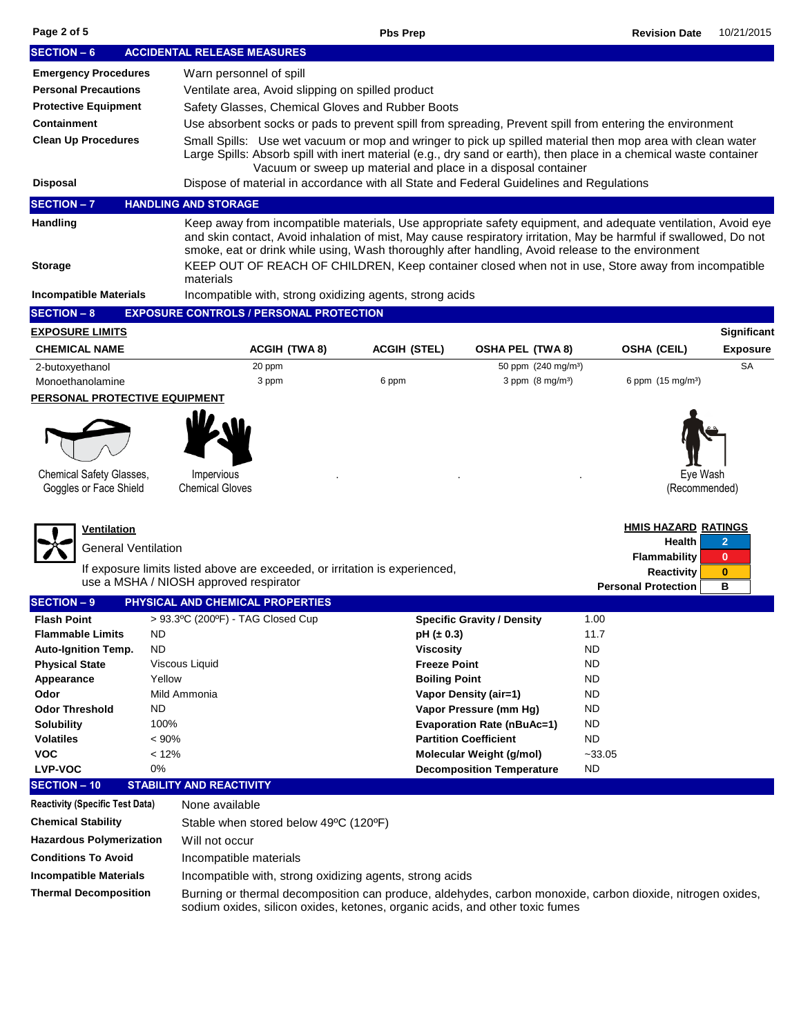| <b>SECTION - 6</b>                                                          |                                                                                         | <b>ACCIDENTAL RELEASE MEASURES</b>                                                                                                                                                                                                                                                                                                     |                                                          |                     |                                  |                                                                                                                                                                                            |                        |                               |                                |
|-----------------------------------------------------------------------------|-----------------------------------------------------------------------------------------|----------------------------------------------------------------------------------------------------------------------------------------------------------------------------------------------------------------------------------------------------------------------------------------------------------------------------------------|----------------------------------------------------------|---------------------|----------------------------------|--------------------------------------------------------------------------------------------------------------------------------------------------------------------------------------------|------------------------|-------------------------------|--------------------------------|
| <b>Emergency Procedures</b>                                                 |                                                                                         | Warn personnel of spill                                                                                                                                                                                                                                                                                                                |                                                          |                     |                                  |                                                                                                                                                                                            |                        |                               |                                |
| <b>Personal Precautions</b>                                                 |                                                                                         | Ventilate area, Avoid slipping on spilled product                                                                                                                                                                                                                                                                                      |                                                          |                     |                                  |                                                                                                                                                                                            |                        |                               |                                |
| <b>Protective Equipment</b>                                                 |                                                                                         | Safety Glasses, Chemical Gloves and Rubber Boots                                                                                                                                                                                                                                                                                       |                                                          |                     |                                  |                                                                                                                                                                                            |                        |                               |                                |
| <b>Containment</b>                                                          |                                                                                         | Use absorbent socks or pads to prevent spill from spreading, Prevent spill from entering the environment                                                                                                                                                                                                                               |                                                          |                     |                                  |                                                                                                                                                                                            |                        |                               |                                |
| <b>Clean Up Procedures</b>                                                  |                                                                                         | Small Spills: Use wet vacuum or mop and wringer to pick up spilled material then mop area with clean water<br>Large Spills: Absorb spill with inert material (e.g., dry sand or earth), then place in a chemical waste container<br>Vacuum or sweep up material and place in a disposal container                                      |                                                          |                     |                                  |                                                                                                                                                                                            |                        |                               |                                |
| <b>Disposal</b>                                                             | Dispose of material in accordance with all State and Federal Guidelines and Regulations |                                                                                                                                                                                                                                                                                                                                        |                                                          |                     |                                  |                                                                                                                                                                                            |                        |                               |                                |
| <b>SECTION-7</b>                                                            |                                                                                         | <b>HANDLING AND STORAGE</b>                                                                                                                                                                                                                                                                                                            |                                                          |                     |                                  |                                                                                                                                                                                            |                        |                               |                                |
| Handling                                                                    |                                                                                         | Keep away from incompatible materials, Use appropriate safety equipment, and adequate ventilation, Avoid eye<br>and skin contact, Avoid inhalation of mist, May cause respiratory irritation, May be harmful if swallowed, Do not<br>smoke, eat or drink while using, Wash thoroughly after handling, Avoid release to the environment |                                                          |                     |                                  |                                                                                                                                                                                            |                        |                               |                                |
| <b>Storage</b>                                                              |                                                                                         | KEEP OUT OF REACH OF CHILDREN, Keep container closed when not in use, Store away from incompatible<br>materials                                                                                                                                                                                                                        |                                                          |                     |                                  |                                                                                                                                                                                            |                        |                               |                                |
| <b>Incompatible Materials</b>                                               |                                                                                         |                                                                                                                                                                                                                                                                                                                                        | Incompatible with, strong oxidizing agents, strong acids |                     |                                  |                                                                                                                                                                                            |                        |                               |                                |
| <b>SECTION - 8</b>                                                          |                                                                                         |                                                                                                                                                                                                                                                                                                                                        | <b>EXPOSURE CONTROLS / PERSONAL PROTECTION</b>           |                     |                                  |                                                                                                                                                                                            |                        |                               |                                |
| <b>EXPOSURE LIMITS</b>                                                      |                                                                                         |                                                                                                                                                                                                                                                                                                                                        |                                                          |                     |                                  |                                                                                                                                                                                            |                        |                               | <b>Significant</b>             |
| <b>CHEMICAL NAME</b>                                                        |                                                                                         |                                                                                                                                                                                                                                                                                                                                        | <b>ACGIH (TWA8)</b>                                      | <b>ACGIH (STEL)</b> |                                  | <b>OSHA PEL (TWA 8)</b>                                                                                                                                                                    |                        | <b>OSHA (CEIL)</b>            | <b>Exposure</b>                |
| 2-butoxyethanol                                                             |                                                                                         |                                                                                                                                                                                                                                                                                                                                        | 20 ppm<br>3 ppm                                          |                     |                                  | 50 ppm (240 mg/m <sup>3</sup> )<br>$3$ ppm $(8 \text{ mq/m}^3)$                                                                                                                            |                        |                               | <b>SA</b>                      |
| Monoethanolamine<br>PERSONAL PROTECTIVE EQUIPMENT                           |                                                                                         |                                                                                                                                                                                                                                                                                                                                        |                                                          | 6 ppm               |                                  |                                                                                                                                                                                            |                        | 6 ppm (15 mg/m <sup>3</sup> ) |                                |
|                                                                             |                                                                                         |                                                                                                                                                                                                                                                                                                                                        |                                                          |                     |                                  |                                                                                                                                                                                            |                        |                               |                                |
|                                                                             |                                                                                         |                                                                                                                                                                                                                                                                                                                                        |                                                          |                     |                                  |                                                                                                                                                                                            |                        |                               |                                |
| <b>Chemical Safety Glasses,</b><br>Goggles or Face Shield                   |                                                                                         | Impervious<br><b>Chemical Gloves</b>                                                                                                                                                                                                                                                                                                   |                                                          |                     |                                  |                                                                                                                                                                                            |                        | Eye Wash<br>(Recommended)     |                                |
|                                                                             |                                                                                         |                                                                                                                                                                                                                                                                                                                                        |                                                          |                     |                                  |                                                                                                                                                                                            |                        |                               |                                |
| <u>Ventilation</u>                                                          |                                                                                         |                                                                                                                                                                                                                                                                                                                                        |                                                          |                     |                                  |                                                                                                                                                                                            |                        | <b>HMIS HAZARD RATINGS</b>    |                                |
| General Ventilation                                                         |                                                                                         |                                                                                                                                                                                                                                                                                                                                        |                                                          |                     |                                  |                                                                                                                                                                                            |                        | Health<br>Flammability        | $\overline{2}$<br>$\mathbf{0}$ |
| If exposure limits listed above are exceeded, or irritation is experienced, |                                                                                         |                                                                                                                                                                                                                                                                                                                                        |                                                          |                     |                                  |                                                                                                                                                                                            | <b>Reactivity</b>      | $\bf{0}$                      |                                |
|                                                                             |                                                                                         | use a MSHA / NIOSH approved respirator                                                                                                                                                                                                                                                                                                 |                                                          |                     |                                  |                                                                                                                                                                                            |                        | <b>Personal Protection</b>    | в                              |
| <b>SECTION - 9</b>                                                          |                                                                                         |                                                                                                                                                                                                                                                                                                                                        | PHYSICAL AND CHEMICAL PROPERTIES                         |                     |                                  |                                                                                                                                                                                            |                        |                               |                                |
| <b>Flash Point</b>                                                          |                                                                                         |                                                                                                                                                                                                                                                                                                                                        | > 93.3°C (200°F) - TAG Closed Cup                        |                     |                                  | <b>Specific Gravity / Density</b>                                                                                                                                                          | 1.00                   |                               |                                |
| <b>Flammable Limits</b>                                                     | ND.                                                                                     |                                                                                                                                                                                                                                                                                                                                        |                                                          |                     | $pH (\pm 0.3)$                   |                                                                                                                                                                                            | 11.7                   |                               |                                |
| <b>Auto-Ignition Temp.</b>                                                  | ND                                                                                      | Viscous Liquid                                                                                                                                                                                                                                                                                                                         |                                                          |                     | Viscosity<br><b>Freeze Point</b> |                                                                                                                                                                                            | <b>ND</b><br><b>ND</b> |                               |                                |
| <b>Physical State</b><br>Appearance                                         | Yellow                                                                                  |                                                                                                                                                                                                                                                                                                                                        |                                                          |                     | <b>Boiling Point</b>             |                                                                                                                                                                                            | <b>ND</b>              |                               |                                |
| Odor                                                                        |                                                                                         | Mild Ammonia                                                                                                                                                                                                                                                                                                                           |                                                          |                     |                                  | Vapor Density (air=1)                                                                                                                                                                      | <b>ND</b>              |                               |                                |
| <b>Odor Threshold</b>                                                       | ND                                                                                      |                                                                                                                                                                                                                                                                                                                                        |                                                          |                     |                                  | Vapor Pressure (mm Hg)                                                                                                                                                                     | ND                     |                               |                                |
| Solubility                                                                  | 100%                                                                                    |                                                                                                                                                                                                                                                                                                                                        |                                                          |                     |                                  | <b>Evaporation Rate (nBuAc=1)</b>                                                                                                                                                          | <b>ND</b>              |                               |                                |
| <b>Volatiles</b>                                                            | < 90%                                                                                   |                                                                                                                                                                                                                                                                                                                                        |                                                          |                     |                                  | <b>Partition Coefficient</b>                                                                                                                                                               | <b>ND</b>              |                               |                                |
| <b>VOC</b>                                                                  | < 12%                                                                                   |                                                                                                                                                                                                                                                                                                                                        |                                                          |                     |                                  | Molecular Weight (g/mol)                                                                                                                                                                   | $-33.05$               |                               |                                |
| LVP-VOC                                                                     | 0%                                                                                      |                                                                                                                                                                                                                                                                                                                                        |                                                          |                     |                                  | <b>Decomposition Temperature</b>                                                                                                                                                           | <b>ND</b>              |                               |                                |
| <b>SECTION - 10</b>                                                         |                                                                                         | <b>STABILITY AND REACTIVITY</b>                                                                                                                                                                                                                                                                                                        |                                                          |                     |                                  |                                                                                                                                                                                            |                        |                               |                                |
| <b>Reactivity (Specific Test Data)</b>                                      |                                                                                         | None available                                                                                                                                                                                                                                                                                                                         |                                                          |                     |                                  |                                                                                                                                                                                            |                        |                               |                                |
| <b>Chemical Stability</b><br>Stable when stored below 49°C (120°F)          |                                                                                         |                                                                                                                                                                                                                                                                                                                                        |                                                          |                     |                                  |                                                                                                                                                                                            |                        |                               |                                |
| <b>Hazardous Polymerization</b>                                             |                                                                                         | Will not occur                                                                                                                                                                                                                                                                                                                         |                                                          |                     |                                  |                                                                                                                                                                                            |                        |                               |                                |
| <b>Conditions To Avoid</b>                                                  |                                                                                         | Incompatible materials                                                                                                                                                                                                                                                                                                                 |                                                          |                     |                                  |                                                                                                                                                                                            |                        |                               |                                |
| <b>Incompatible Materials</b>                                               |                                                                                         |                                                                                                                                                                                                                                                                                                                                        | Incompatible with, strong oxidizing agents, strong acids |                     |                                  |                                                                                                                                                                                            |                        |                               |                                |
| <b>Thermal Decomposition</b>                                                |                                                                                         |                                                                                                                                                                                                                                                                                                                                        |                                                          |                     |                                  | Burning or thermal decomposition can produce, aldehydes, carbon monoxide, carbon dioxide, nitrogen oxides,<br>sodium oxides, silicon oxides, ketones, organic acids, and other toxic fumes |                        |                               |                                |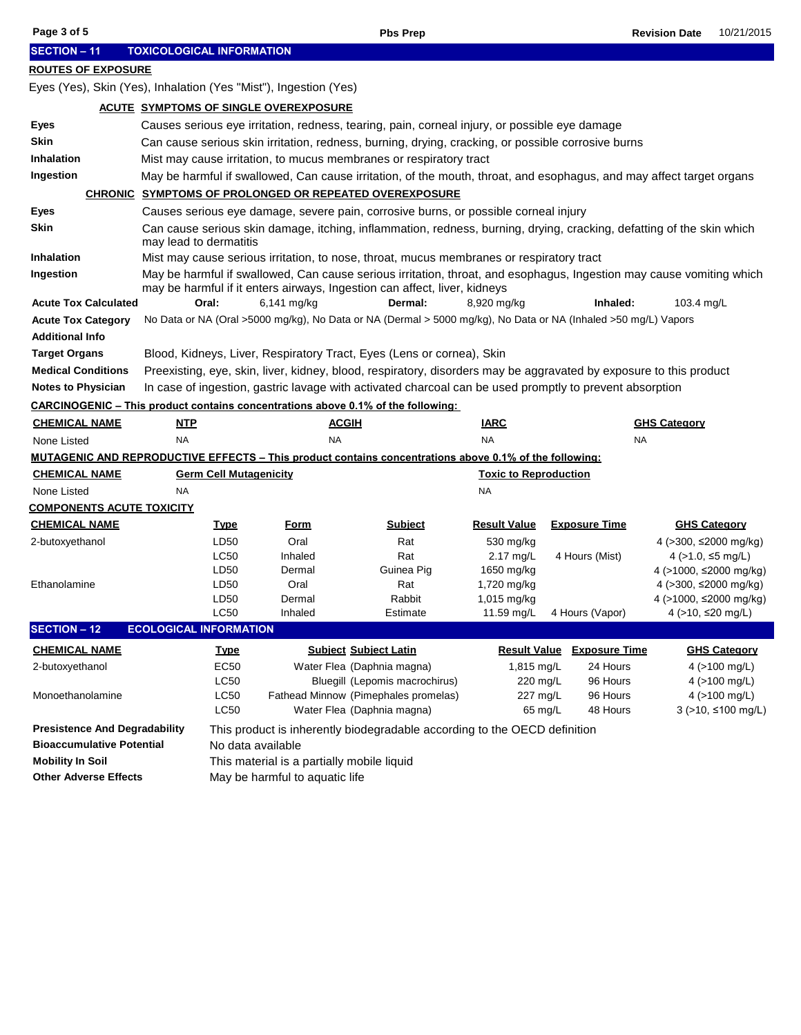| Page 3 of 5                                                      |                                                                                               | <b>Pbs Prep</b>                                                                                                      |                                                                                                                                                                                                   |                              |                                   |                                                 |                     |  |  |  |  |
|------------------------------------------------------------------|-----------------------------------------------------------------------------------------------|----------------------------------------------------------------------------------------------------------------------|---------------------------------------------------------------------------------------------------------------------------------------------------------------------------------------------------|------------------------------|-----------------------------------|-------------------------------------------------|---------------------|--|--|--|--|
| <b>SECTION - 11</b>                                              | <b>TOXICOLOGICAL INFORMATION</b>                                                              |                                                                                                                      |                                                                                                                                                                                                   |                              |                                   |                                                 |                     |  |  |  |  |
| <b>ROUTES OF EXPOSURE</b>                                        |                                                                                               |                                                                                                                      |                                                                                                                                                                                                   |                              |                                   |                                                 |                     |  |  |  |  |
| Eyes (Yes), Skin (Yes), Inhalation (Yes "Mist"), Ingestion (Yes) |                                                                                               |                                                                                                                      |                                                                                                                                                                                                   |                              |                                   |                                                 |                     |  |  |  |  |
| ACUTE SYMPTOMS OF SINGLE OVEREXPOSURE                            |                                                                                               |                                                                                                                      |                                                                                                                                                                                                   |                              |                                   |                                                 |                     |  |  |  |  |
| Eyes                                                             | Causes serious eye irritation, redness, tearing, pain, corneal injury, or possible eye damage |                                                                                                                      |                                                                                                                                                                                                   |                              |                                   |                                                 |                     |  |  |  |  |
| <b>Skin</b>                                                      |                                                                                               | Can cause serious skin irritation, redness, burning, drying, cracking, or possible corrosive burns                   |                                                                                                                                                                                                   |                              |                                   |                                                 |                     |  |  |  |  |
| <b>Inhalation</b>                                                |                                                                                               | Mist may cause irritation, to mucus membranes or respiratory tract                                                   |                                                                                                                                                                                                   |                              |                                   |                                                 |                     |  |  |  |  |
| Ingestion                                                        |                                                                                               | May be harmful if swallowed, Can cause irritation, of the mouth, throat, and esophagus, and may affect target organs |                                                                                                                                                                                                   |                              |                                   |                                                 |                     |  |  |  |  |
|                                                                  |                                                                                               | <b>CHRONIC SYMPTOMS OF PROLONGED OR REPEATED OVEREXPOSURE</b>                                                        |                                                                                                                                                                                                   |                              |                                   |                                                 |                     |  |  |  |  |
| Eyes                                                             |                                                                                               |                                                                                                                      | Causes serious eye damage, severe pain, corrosive burns, or possible corneal injury                                                                                                               |                              |                                   |                                                 |                     |  |  |  |  |
| <b>Skin</b>                                                      | may lead to dermatitis                                                                        |                                                                                                                      | Can cause serious skin damage, itching, inflammation, redness, burning, drying, cracking, defatting of the skin which                                                                             |                              |                                   |                                                 |                     |  |  |  |  |
| <b>Inhalation</b>                                                |                                                                                               |                                                                                                                      | Mist may cause serious irritation, to nose, throat, mucus membranes or respiratory tract                                                                                                          |                              |                                   |                                                 |                     |  |  |  |  |
| Ingestion                                                        |                                                                                               |                                                                                                                      | May be harmful if swallowed, Can cause serious irritation, throat, and esophagus, Ingestion may cause vomiting which<br>may be harmful if it enters airways, Ingestion can affect, liver, kidneys |                              |                                   |                                                 |                     |  |  |  |  |
| <b>Acute Tox Calculated</b>                                      | Oral:                                                                                         | 6,141 mg/kg                                                                                                          | Dermal:                                                                                                                                                                                           | 8,920 mg/kg                  | Inhaled:                          | 103.4 mg/L                                      |                     |  |  |  |  |
| <b>Acute Tox Category</b>                                        |                                                                                               |                                                                                                                      | No Data or NA (Oral >5000 mg/kg), No Data or NA (Dermal > 5000 mg/kg), No Data or NA (Inhaled >50 mg/L) Vapors                                                                                    |                              |                                   |                                                 |                     |  |  |  |  |
| <b>Additional Info</b>                                           |                                                                                               |                                                                                                                      |                                                                                                                                                                                                   |                              |                                   |                                                 |                     |  |  |  |  |
| <b>Target Organs</b>                                             |                                                                                               |                                                                                                                      | Blood, Kidneys, Liver, Respiratory Tract, Eyes (Lens or cornea), Skin                                                                                                                             |                              |                                   |                                                 |                     |  |  |  |  |
| <b>Medical Conditions</b>                                        |                                                                                               |                                                                                                                      | Preexisting, eye, skin, liver, kidney, blood, respiratory, disorders may be aggravated by exposure to this product                                                                                |                              |                                   |                                                 |                     |  |  |  |  |
| <b>Notes to Physician</b>                                        |                                                                                               |                                                                                                                      | In case of ingestion, gastric lavage with activated charcoal can be used promptly to prevent absorption                                                                                           |                              |                                   |                                                 |                     |  |  |  |  |
|                                                                  |                                                                                               |                                                                                                                      | <b>CARCINOGENIC – This product contains concentrations above 0.1% of the following:</b>                                                                                                           |                              |                                   |                                                 |                     |  |  |  |  |
| <b>CHEMICAL NAME</b>                                             | <u>NTP</u>                                                                                    | <u>ACGIH</u>                                                                                                         |                                                                                                                                                                                                   | <b>IARC</b>                  |                                   | <b>GHS Category</b>                             |                     |  |  |  |  |
| NA<br>None Listed                                                |                                                                                               | <b>NA</b>                                                                                                            |                                                                                                                                                                                                   | <b>NA</b>                    |                                   |                                                 |                     |  |  |  |  |
|                                                                  |                                                                                               |                                                                                                                      | <b>MUTAGENIC AND REPRODUCTIVE EFFECTS – This product contains concentrations above 0.1% of the following:</b>                                                                                     |                              |                                   |                                                 |                     |  |  |  |  |
| <u>CHEMICAL NAME</u>                                             | <b>Germ Cell Mutagenicity</b>                                                                 |                                                                                                                      |                                                                                                                                                                                                   | <b>Toxic to Reproduction</b> |                                   |                                                 |                     |  |  |  |  |
| None Listed                                                      | NA                                                                                            |                                                                                                                      |                                                                                                                                                                                                   | <b>NA</b>                    |                                   |                                                 |                     |  |  |  |  |
| <b>COMPONENTS ACUTE TOXICITY</b>                                 |                                                                                               |                                                                                                                      |                                                                                                                                                                                                   |                              |                                   |                                                 |                     |  |  |  |  |
| <u>CHEMICAL NAME</u>                                             | <u>Type</u>                                                                                   | <u>Form</u>                                                                                                          | <b>Subject</b>                                                                                                                                                                                    | <b>Result Value</b>          | <b>Exposure Time</b>              |                                                 | <b>GHS Category</b> |  |  |  |  |
| 2-butoxyethanol                                                  | LD50                                                                                          | Oral                                                                                                                 | Rat                                                                                                                                                                                               | 530 mg/kg                    |                                   | 4 (>300, ≤2000 mg/kg)                           |                     |  |  |  |  |
|                                                                  | <b>LC50</b>                                                                                   | Inhaled                                                                                                              | Rat                                                                                                                                                                                               | 2.17 mg/L                    | 4 Hours (Mist)                    | 4 ( $>1.0$ , $\leq$ 5 mg/L)                     |                     |  |  |  |  |
| Ethanolamine                                                     | LD <sub>50</sub><br>LD50                                                                      | Dermal<br>Oral                                                                                                       | Guinea Pig<br>Rat                                                                                                                                                                                 | 1650 mg/kg<br>1,720 mg/kg    |                                   | 4 (>1000, ≤2000 mg/kg)<br>4 (>300, ≤2000 mg/kg) |                     |  |  |  |  |
|                                                                  | LD50                                                                                          | Dermal                                                                                                               | Rabbit                                                                                                                                                                                            | 1,015 mg/kg                  |                                   | 4 (>1000, ≤2000 mg/kg)                          |                     |  |  |  |  |
|                                                                  | <b>LC50</b>                                                                                   | Inhaled                                                                                                              | Estimate                                                                                                                                                                                          | 11.59 mg/L                   | 4 Hours (Vapor)                   | 4 (>10, ≤20 mg/L)                               |                     |  |  |  |  |
| <b>SECTION - 12</b>                                              | <b>ECOLOGICAL INFORMATION</b>                                                                 |                                                                                                                      |                                                                                                                                                                                                   |                              |                                   |                                                 |                     |  |  |  |  |
| <b>CHEMICAL NAME</b>                                             | <u>Type</u>                                                                                   |                                                                                                                      | <b>Subject Subject Latin</b>                                                                                                                                                                      |                              | <b>Result Value Exposure Time</b> |                                                 | <b>GHS Category</b> |  |  |  |  |
| 2-butoxyethanol                                                  | EC50<br>Water Flea (Daphnia magna)                                                            |                                                                                                                      | 1,815 mg/L                                                                                                                                                                                        | 24 Hours                     |                                   | $4$ ( $>100$ mg/L)                              |                     |  |  |  |  |
|                                                                  | LC50                                                                                          | Bluegill (Lepomis macrochirus)                                                                                       |                                                                                                                                                                                                   | 220 mg/L                     | 96 Hours                          |                                                 | 4 (>100 mg/L)       |  |  |  |  |
| Monoethanolamine                                                 | <b>LC50</b>                                                                                   |                                                                                                                      | Fathead Minnow (Pimephales promelas)                                                                                                                                                              |                              | 227 mg/L<br>96 Hours              |                                                 | 4 (>100 mg/L)       |  |  |  |  |
|                                                                  |                                                                                               | LC50<br>Water Flea (Daphnia magna)<br>65 mg/L<br>48 Hours                                                            |                                                                                                                                                                                                   |                              |                                   |                                                 | 3 (>10, ≤100 mg/L)  |  |  |  |  |
| <b>Presistence And Degradability</b>                             |                                                                                               | This product is inherently biodegradable according to the OECD definition                                            |                                                                                                                                                                                                   |                              |                                   |                                                 |                     |  |  |  |  |
| <b>Bioaccumulative Potential</b>                                 |                                                                                               | No data available                                                                                                    |                                                                                                                                                                                                   |                              |                                   |                                                 |                     |  |  |  |  |
| <b>Mobility In Soil</b>                                          |                                                                                               | This material is a partially mobile liquid                                                                           |                                                                                                                                                                                                   |                              |                                   |                                                 |                     |  |  |  |  |
| <b>Other Adverse Effects</b>                                     |                                                                                               | May be harmful to aquatic life                                                                                       |                                                                                                                                                                                                   |                              |                                   |                                                 |                     |  |  |  |  |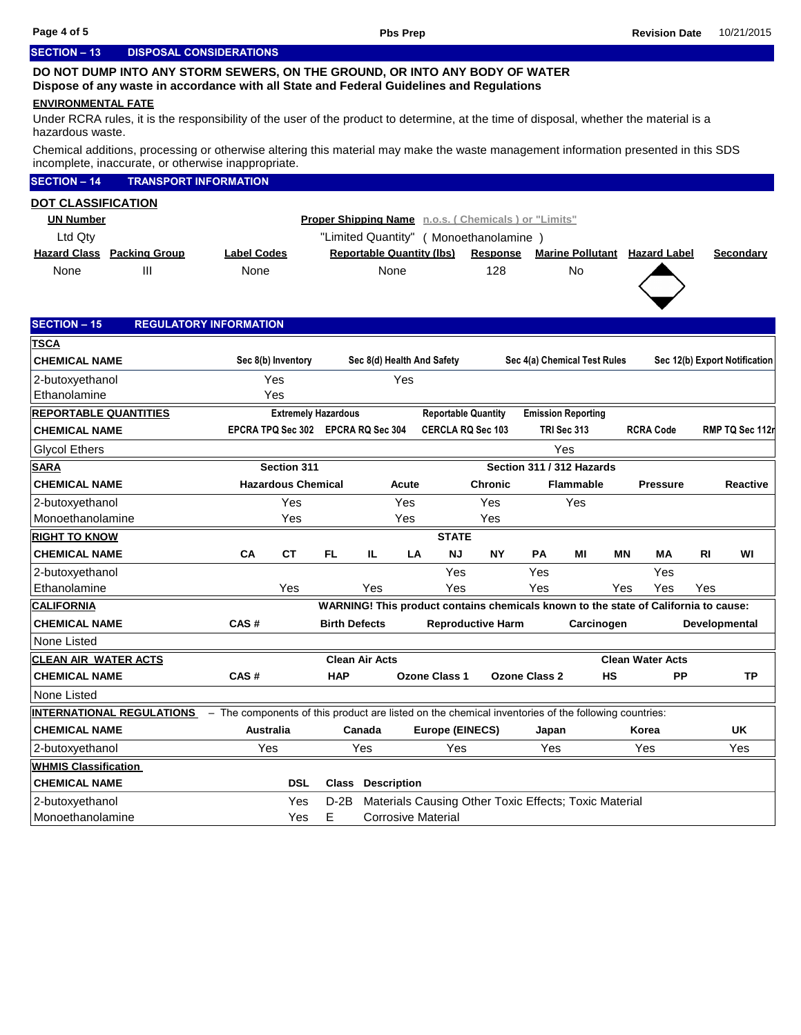### **SECTION – 13 DISPOSAL CONSIDERATIONS**

## **DO NOT DUMP INTO ANY STORM SEWERS, ON THE GROUND, OR INTO ANY BODY OF WATER Dispose of any waste in accordance with all State and Federal Guidelines and Regulations**

#### **ENVIRONMENTAL FATE**

Under RCRA rules, it is the responsibility of the user of the product to determine, at the time of disposal, whether the material is a hazardous waste.

Chemical additions, processing or otherwise altering this material may make the waste management information presented in this SDS incomplete, inaccurate, or otherwise inappropriate.

|                                   | alo, or ollionidoo mappi ophalo.                                                                    |                            |                      |                                  |                        |                                                       |                      |                              |     |                                                                                     |           |                               |
|-----------------------------------|-----------------------------------------------------------------------------------------------------|----------------------------|----------------------|----------------------------------|------------------------|-------------------------------------------------------|----------------------|------------------------------|-----|-------------------------------------------------------------------------------------|-----------|-------------------------------|
| <b>SECTION - 14</b>               | <b>TRANSPORT INFORMATION</b>                                                                        |                            |                      |                                  |                        |                                                       |                      |                              |     |                                                                                     |           |                               |
| <b>DOT CLASSIFICATION</b>         |                                                                                                     |                            |                      |                                  |                        |                                                       |                      |                              |     |                                                                                     |           |                               |
| <b>UN Number</b>                  |                                                                                                     |                            |                      |                                  |                        | Proper Shipping Name n.o.s. (Chemicals) or "Limits"   |                      |                              |     |                                                                                     |           |                               |
| Ltd Qty                           |                                                                                                     |                            |                      |                                  |                        | "Limited Quantity" ( Monoethanolamine )               |                      |                              |     |                                                                                     |           |                               |
| <b>Hazard Class Packing Group</b> | <b>Label Codes</b>                                                                                  |                            |                      | <b>Reportable Quantity (lbs)</b> |                        | <b>Response</b>                                       |                      |                              |     | <b>Marine Pollutant Hazard Label</b>                                                |           | Secondary                     |
| Ш<br>None                         | None                                                                                                |                            |                      | None                             |                        | 128                                                   |                      | <b>No</b>                    |     |                                                                                     |           |                               |
|                                   |                                                                                                     |                            |                      |                                  |                        |                                                       |                      |                              |     |                                                                                     |           |                               |
|                                   |                                                                                                     |                            |                      |                                  |                        |                                                       |                      |                              |     |                                                                                     |           |                               |
| <b>SECTION - 15</b>               | <b>REGULATORY INFORMATION</b>                                                                       |                            |                      |                                  |                        |                                                       |                      |                              |     |                                                                                     |           |                               |
| <u>TSCA</u>                       |                                                                                                     |                            |                      |                                  |                        |                                                       |                      |                              |     |                                                                                     |           |                               |
| <b>CHEMICAL NAME</b>              | Sec 8(b) Inventory                                                                                  |                            |                      | Sec 8(d) Health And Safety       |                        |                                                       |                      | Sec 4(a) Chemical Test Rules |     |                                                                                     |           | Sec 12(b) Export Notification |
| 2-butoxyethanol                   | Yes                                                                                                 |                            |                      | Yes                              |                        |                                                       |                      |                              |     |                                                                                     |           |                               |
| Ethanolamine                      | Yes                                                                                                 |                            |                      |                                  |                        |                                                       |                      |                              |     |                                                                                     |           |                               |
| REPORTABLE QUANTITIES             |                                                                                                     | <b>Extremely Hazardous</b> |                      |                                  |                        | <b>Reportable Quantity</b>                            |                      | <b>Emission Reporting</b>    |     |                                                                                     |           |                               |
| <b>CHEMICAL NAME</b>              | EPCRA TPQ Sec 302 EPCRA RQ Sec 304                                                                  |                            |                      |                                  |                        | <b>CERCLA RQ Sec 103</b>                              |                      | TRI Sec 313                  |     | <b>RCRA Code</b>                                                                    |           | RMP TQ Sec 112                |
| <b>Glycol Ethers</b>              |                                                                                                     |                            |                      |                                  |                        |                                                       |                      | Yes                          |     |                                                                                     |           |                               |
| <b>SARA</b>                       | Section 311                                                                                         |                            |                      |                                  |                        |                                                       |                      | Section 311 / 312 Hazards    |     |                                                                                     |           |                               |
| <b>CHEMICAL NAME</b>              | <b>Hazardous Chemical</b>                                                                           |                            |                      | Acute                            |                        | <b>Chronic</b>                                        |                      | <b>Flammable</b>             |     | <b>Pressure</b>                                                                     |           | <b>Reactive</b>               |
| 2-butoxyethanol                   |                                                                                                     | Yes                        |                      | Yes                              |                        | Yes                                                   |                      | Yes                          |     |                                                                                     |           |                               |
| Monoethanolamine                  |                                                                                                     | Yes                        |                      | Yes                              |                        | Yes                                                   |                      |                              |     |                                                                                     |           |                               |
| <b>RIGHT TO KNOW</b>              |                                                                                                     |                            |                      |                                  | <b>STATE</b>           |                                                       |                      |                              |     |                                                                                     |           |                               |
| <b>CHEMICAL NAME</b>              | <b>CT</b><br>CA                                                                                     | FL.                        |                      | IL.<br>LA                        | <b>NJ</b>              | <b>NY</b>                                             | <b>PA</b>            | ΜI                           | ΜN  | MА                                                                                  | <b>RI</b> | WI                            |
| 2-butoxyethanol                   |                                                                                                     |                            |                      |                                  | Yes                    |                                                       | Yes                  |                              |     | Yes                                                                                 |           |                               |
| Ethanolamine                      | Yes                                                                                                 |                            |                      | Yes                              | Yes                    |                                                       | Yes                  |                              | Yes | Yes                                                                                 | Yes       |                               |
| <b>CALIFORNIA</b>                 |                                                                                                     |                            |                      |                                  |                        |                                                       |                      |                              |     | WARNING! This product contains chemicals known to the state of California to cause: |           |                               |
| <b>CHEMICAL NAME</b>              | CAS#                                                                                                |                            | <b>Birth Defects</b> |                                  |                        | <b>Reproductive Harm</b>                              |                      | Carcinogen                   |     |                                                                                     |           | Developmental                 |
| None Listed                       |                                                                                                     |                            |                      |                                  |                        |                                                       |                      |                              |     |                                                                                     |           |                               |
| <b>CLEAN AIR WATER ACTS</b>       |                                                                                                     |                            |                      | <b>Clean Air Acts</b>            |                        |                                                       |                      |                              |     | <b>Clean Water Acts</b>                                                             |           |                               |
| <b>CHEMICAL NAME</b>              | CAS#                                                                                                |                            | <b>HAP</b>           |                                  | <b>Ozone Class 1</b>   |                                                       | <b>Ozone Class 2</b> | HS                           |     | <b>PP</b>                                                                           |           | TP                            |
| None Listed                       |                                                                                                     |                            |                      |                                  |                        |                                                       |                      |                              |     |                                                                                     |           |                               |
| <u>INTERNATIONAL REGULATIONS</u>  | - The components of this product are listed on the chemical inventories of the following countries: |                            |                      |                                  |                        |                                                       |                      |                              |     |                                                                                     |           |                               |
| <b>CHEMICAL NAME</b>              | Australia                                                                                           |                            |                      | Canada                           | <b>Europe (EINECS)</b> |                                                       | Japan                |                              |     | Korea                                                                               |           | <b>UK</b>                     |
| 2-butoxyethanol                   | Yes                                                                                                 |                            |                      | Yes                              | Yes                    |                                                       | Yes                  |                              |     | Yes                                                                                 |           | Yes                           |
| <b>WHMIS Classification</b>       |                                                                                                     |                            |                      |                                  |                        |                                                       |                      |                              |     |                                                                                     |           |                               |
| <b>CHEMICAL NAME</b>              |                                                                                                     | <b>DSL</b>                 |                      | <b>Class Description</b>         |                        |                                                       |                      |                              |     |                                                                                     |           |                               |
| 2-butoxyethanol                   |                                                                                                     | Yes                        | $D-2B$               |                                  |                        | Materials Causing Other Toxic Effects; Toxic Material |                      |                              |     |                                                                                     |           |                               |
| Monoethanolamine                  |                                                                                                     | E<br>Yes                   |                      | <b>Corrosive Material</b>        |                        |                                                       |                      |                              |     |                                                                                     |           |                               |